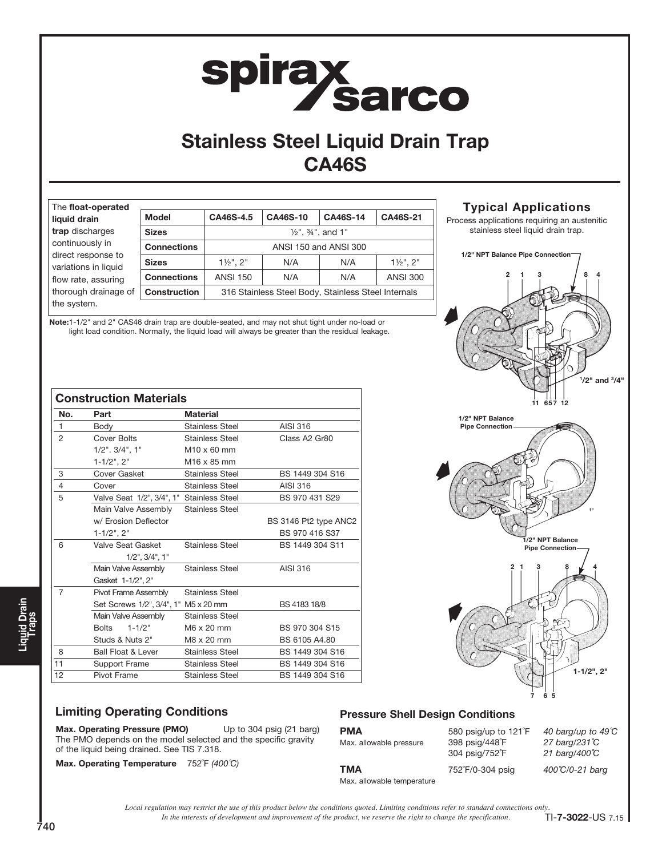# spirax<br>Sarco

# Stainless Steel Liquid Drain Trap CA46S

| The float-operated                         |                     |                                                     |                                          |          |                         |
|--------------------------------------------|---------------------|-----------------------------------------------------|------------------------------------------|----------|-------------------------|
| liquid drain                               | <b>Model</b>        | CA46S-4.5                                           | CA46S-10                                 | CA46S-14 | CA46S-21                |
| trap discharges                            | <b>Sizes</b>        |                                                     | $\frac{1}{2}$ ", $\frac{3}{4}$ ", and 1" |          |                         |
| continuously in                            | <b>Connections</b>  | ANSI 150 and ANSI 300                               |                                          |          |                         |
| direct response to<br>variations in liquid | <b>Sizes</b>        | $1\frac{1}{2}$ ". $2$ "                             | N/A                                      | N/A      | $1\frac{1}{2}$ ". $2$ " |
| flow rate, assuring                        | <b>Connections</b>  | <b>ANSI 150</b>                                     | N/A                                      | N/A      | <b>ANSI 300</b>         |
| thorough drainage of                       | <b>Construction</b> | 316 Stainless Steel Body, Stainless Steel Internals |                                          |          |                         |
| the system.                                |                     |                                                     |                                          |          |                         |

Note:1-1/2" and 2" CAS46 drain trap are double-seated, and may not shut tight under no-load or light load condition. Normally, the liquid load will always be greater than the residual leakage.

|     | <b>Construction Materials</b>             |                         |                       |
|-----|-------------------------------------------|-------------------------|-----------------------|
| No. | Part                                      | <b>Material</b>         |                       |
| 1   | Body                                      | <b>Stainless Steel</b>  | AISI 316              |
| 2   | Cover Bolts                               | <b>Stainless Steel</b>  | Class A2 Gr80         |
|     | $1/2$ ". $3/4$ ", $1$ "                   | $M10 \times 60$ mm      |                       |
|     | $1 - 1/2$ ", $2$ "                        | M <sub>16</sub> x 85 mm |                       |
| 3   | Cover Gasket                              | <b>Stainless Steel</b>  | BS 1449 304 S16       |
| 4   | Cover                                     | <b>Stainless Steel</b>  | AISI 316              |
| 5   | Valve Seat 1/2", 3/4", 1" Stainless Steel |                         | BS 970 431 S29        |
|     | Main Valve Assembly                       | <b>Stainless Steel</b>  |                       |
|     | w/ Erosion Deflector                      |                         | BS 3146 Pt2 type ANC2 |
|     | $1 - 1/2$ ", $2$ "                        |                         | BS 970 416 S37        |
| 6   | Valve Seat Gasket                         | <b>Stainless Steel</b>  | BS 1449 304 S11       |
|     | $1/2$ ", $3/4$ ", $1$ "                   |                         |                       |
|     | Main Valve Assembly                       | <b>Stainless Steel</b>  | AISI 316              |
|     | Gasket 1-1/2", 2"                         |                         |                       |
| 7   | Pivot Frame Assembly                      | <b>Stainless Steel</b>  |                       |
|     | Set Screws 1/2", 3/4", 1" M5 x 20 mm      |                         | BS 4183 18/8          |
|     | Main Valve Assembly                       | <b>Stainless Steel</b>  |                       |
|     | $1 - 1/2"$<br><b>Bolts</b>                | M6 x 20 mm              | BS 970 304 S15        |
|     | Studs & Nuts 2"                           | M8 x 20 mm              | BS 6105 A4.80         |
| 8   | <b>Ball Float &amp; Lever</b>             | <b>Stainless Steel</b>  | BS 1449 304 S16       |
| 11  | Support Frame                             | <b>Stainless Steel</b>  | BS 1449 304 S16       |
| 12  | Pivot Frame                               | <b>Stainless Steel</b>  | BS 1449 304 S16       |

# 2 1 3 8 4 7 6 5 1" 1-1/2", 2" 2 1 3 / 8 4 657 12 1 /2" and 3 /4" 1/2" NPT Balance Pipe Connection 1/2" NPT Balance Pipe Connection 1/2" NPT Balance Pipe Connection

Typical Applications Process applications requiring an austenitic stainless steel liquid drain trap.

# Limiting Operating Conditions

Max. Operating Pressure (PMO) Up to 304 psig (21 barg) The PMO depends on the model selected and the specific gravity of the liquid being drained. See TIS 7.318.

Max. Operating Temperature 752°F (400°C)

# Pressure Shell Design Conditions

| <b>PMA</b><br>Max. allowable pressure | 580 psig/up to 121 <sup>°</sup> F<br>398 psig/448°F<br>304 psig/752°F | 40 barg/up to $49^{\circ}$ C<br>27 barg/231 °C<br>21 barg/400℃ |
|---------------------------------------|-----------------------------------------------------------------------|----------------------------------------------------------------|
| TMA<br>Max. allowable temperature     | 752°F/0-304 psig                                                      | 400°C/0-21 barg                                                |

*In the interests of development and improvement of the product, we reserve the right to change the specification. Local regulation may restrict the use of this product below the conditions quoted. Limiting conditions refer to standard connections only.*

740